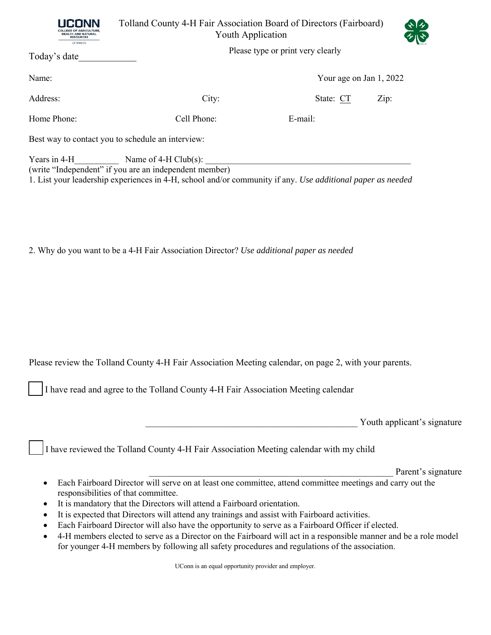| <b>RESOURCES</b><br><b>EXTENS ON</b>              | Tolland County 4-H Fair Association Board of Directors (Fairboard)<br><b>Youth Application</b>                                                                                                  |                         |      |  |  |  |  |  |  |  |  |  |  |
|---------------------------------------------------|-------------------------------------------------------------------------------------------------------------------------------------------------------------------------------------------------|-------------------------|------|--|--|--|--|--|--|--|--|--|--|
| Today's date                                      | Please type or print very clearly                                                                                                                                                               |                         |      |  |  |  |  |  |  |  |  |  |  |
| Name:                                             |                                                                                                                                                                                                 | Your age on Jan 1, 2022 |      |  |  |  |  |  |  |  |  |  |  |
| Address:                                          | City:                                                                                                                                                                                           | State: CT               | Zip: |  |  |  |  |  |  |  |  |  |  |
| Home Phone:                                       | Cell Phone:                                                                                                                                                                                     | E-mail:                 |      |  |  |  |  |  |  |  |  |  |  |
| Best way to contact you to schedule an interview: |                                                                                                                                                                                                 |                         |      |  |  |  |  |  |  |  |  |  |  |
| Years in 4-H                                      | Name of 4-H $Club(s)$ :<br>(write "Independent" if you are an independent member)<br>1. List your leadership experiences in 4-H, school and/or community if any. Use additional paper as needed |                         |      |  |  |  |  |  |  |  |  |  |  |

2. Why do you want to be a 4-H Fair Association Director? *Use additional paper as needed*

Please review the Tolland County 4-H Fair Association Meeting calendar, on page 2, with your parents.

I have read and agree to the Tolland County 4-H Fair Association Meeting calendar

Youth applicant's signature

I have reviewed the Tolland County 4-H Fair Association Meeting calendar with my child

Parent's signature

- Each Fairboard Director will serve on at least one committee, attend committee meetings and carry out the responsibilities of that committee.
- It is mandatory that the Directors will attend a Fairboard orientation.
- It is expected that Directors will attend any trainings and assist with Fairboard activities.
- Each Fairboard Director will also have the opportunity to serve as a Fairboard Officer if elected.
- 4-H members elected to serve as a Director on the Fairboard will act in a responsible manner and be a role model for younger 4-H members by following all safety procedures and regulations of the association.

UConn is an equal opportunity provider and employer.